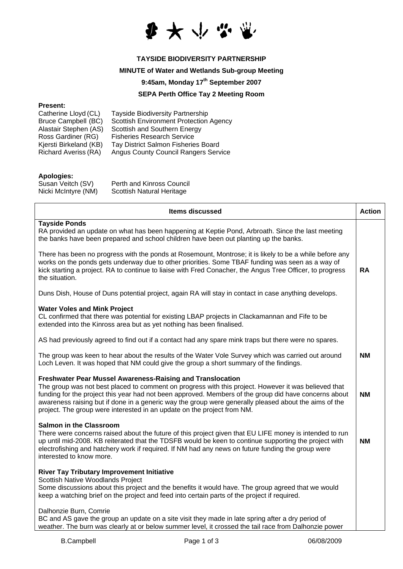

## **TAYSIDE BIODIVERSITY PARTNERSHIP**

## **MINUTE of Water and Wetlands Sub-group Meeting**

## **9:45am, Monday 17th September 2007**

# **SEPA Perth Office Tay 2 Meeting Room**

#### **Present:**

| Catherine Lloyd (CL)        | <b>Tayside Biodiversity Partnership</b>       |
|-----------------------------|-----------------------------------------------|
| <b>Bruce Campbell (BC)</b>  | <b>Scottish Environment Protection Agency</b> |
| Alastair Stephen (AS)       | Scottish and Southern Energy                  |
| Ross Gardiner (RG)          | <b>Fisheries Research Service</b>             |
| Kjersti Birkeland (KB)      | Tay District Salmon Fisheries Board           |
| <b>Richard Averiss (RA)</b> | <b>Angus County Council Rangers Service</b>   |
|                             |                                               |

### **Apologies:**

| Susan Veitch (SV)   | Perth and Kinross Council |
|---------------------|---------------------------|
| Nicki McIntyre (NM) | Scottish Natural Heritage |

| <b>Items discussed</b>                                                                                                                                                                                                                                                                                                                                                                                                                                                 | <b>Action</b> |
|------------------------------------------------------------------------------------------------------------------------------------------------------------------------------------------------------------------------------------------------------------------------------------------------------------------------------------------------------------------------------------------------------------------------------------------------------------------------|---------------|
| <b>Tayside Ponds</b><br>RA provided an update on what has been happening at Keptie Pond, Arbroath. Since the last meeting<br>the banks have been prepared and school children have been out planting up the banks.                                                                                                                                                                                                                                                     |               |
| There has been no progress with the ponds at Rosemount, Montrose; it is likely to be a while before any<br>works on the ponds gets underway due to other priorities. Some TBAF funding was seen as a way of<br>kick starting a project. RA to continue to liaise with Fred Conacher, the Angus Tree Officer, to progress<br>the situation.                                                                                                                             | <b>RA</b>     |
| Duns Dish, House of Duns potential project, again RA will stay in contact in case anything develops.                                                                                                                                                                                                                                                                                                                                                                   |               |
| <b>Water Voles and Mink Project</b><br>CL confirmed that there was potential for existing LBAP projects in Clackamannan and Fife to be<br>extended into the Kinross area but as yet nothing has been finalised.                                                                                                                                                                                                                                                        |               |
| AS had previously agreed to find out if a contact had any spare mink traps but there were no spares.                                                                                                                                                                                                                                                                                                                                                                   |               |
| The group was keen to hear about the results of the Water Vole Survey which was carried out around<br>Loch Leven. It was hoped that NM could give the group a short summary of the findings.                                                                                                                                                                                                                                                                           | <b>NM</b>     |
| <b>Freshwater Pear Mussel Awareness-Raising and Translocation</b><br>The group was not best placed to comment on progress with this project. However it was believed that<br>funding for the project this year had not been approved. Members of the group did have concerns about<br>awareness raising but if done in a generic way the group were generally pleased about the aims of the<br>project. The group were interested in an update on the project from NM. | <b>NM</b>     |
| <b>Salmon in the Classroom</b><br>There were concerns raised about the future of this project given that EU LIFE money is intended to run<br>up until mid-2008. KB reiterated that the TDSFB would be keen to continue supporting the project with<br>electrofishing and hatchery work if required. If NM had any news on future funding the group were<br>interested to know more.                                                                                    | <b>NM</b>     |
| <b>River Tay Tributary Improvement Initiative</b><br>Scottish Native Woodlands Project<br>Some discussions about this project and the benefits it would have. The group agreed that we would<br>keep a watching brief on the project and feed into certain parts of the project if required.                                                                                                                                                                           |               |
| Dalhonzie Burn, Comrie<br>BC and AS gave the group an update on a site visit they made in late spring after a dry period of<br>weather. The burn was clearly at or below summer level, it crossed the tail race from Dalhonzie power                                                                                                                                                                                                                                   |               |

i.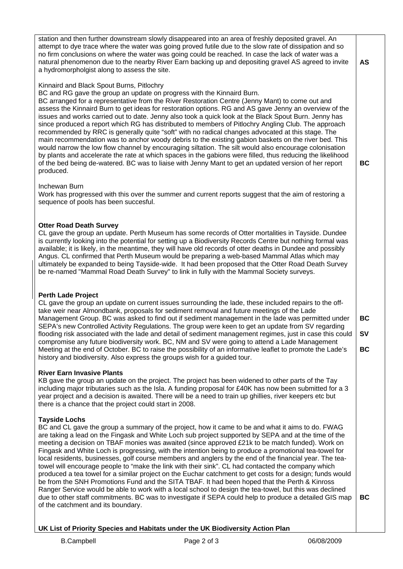| station and then further downstream slowly disappeared into an area of freshly deposited gravel. An<br>attempt to dye trace where the water was going proved futile due to the slow rate of dissipation and so<br>no firm conclusions on where the water was going could be reached. In case the lack of water was a<br>natural phenomenon due to the nearby River Earn backing up and depositing gravel AS agreed to invite<br>a hydromorpholgist along to assess the site.                                                                                                                                                                                                                                                                                                                                                                                                                                                                                                                                                                                                                                                             | AS                    |
|------------------------------------------------------------------------------------------------------------------------------------------------------------------------------------------------------------------------------------------------------------------------------------------------------------------------------------------------------------------------------------------------------------------------------------------------------------------------------------------------------------------------------------------------------------------------------------------------------------------------------------------------------------------------------------------------------------------------------------------------------------------------------------------------------------------------------------------------------------------------------------------------------------------------------------------------------------------------------------------------------------------------------------------------------------------------------------------------------------------------------------------|-----------------------|
| Kinnaird and Black Spout Burns, Pitlochry<br>BC and RG gave the group an update on progress with the Kinnaird Burn.<br>BC arranged for a representative from the River Restoration Centre (Jenny Mant) to come out and<br>assess the Kinnaird Burn to get ideas for restoration options. RG and AS gave Jenny an overview of the<br>issues and works carried out to date. Jenny also took a quick look at the Black Spout Burn. Jenny has<br>since produced a report which RG has distributed to members of Pitlochry Angling Club. The approach<br>recommended by RRC is generally quite "soft" with no radical changes advocated at this stage. The<br>main recommendation was to anchor woody debris to the existing gabion baskets on the river bed. This<br>would narrow the low flow channel by encouraging siltation. The silt would also encourage colonisation<br>by plants and accelerate the rate at which spaces in the gabions were filled, thus reducing the likelihood<br>of the bed being de-watered. BC was to liaise with Jenny Mant to get an updated version of her report<br>produced.                              | ВC                    |
| Inchewan Burn<br>Work has progressed with this over the summer and current reports suggest that the aim of restoring a<br>sequence of pools has been succesful.                                                                                                                                                                                                                                                                                                                                                                                                                                                                                                                                                                                                                                                                                                                                                                                                                                                                                                                                                                          |                       |
| <b>Otter Road Death Survey</b><br>CL gave the group an update. Perth Museum has some records of Otter mortalities in Tayside. Dundee<br>is currently looking into the potential for setting up a Biodiversity Records Centre but nothing formal was<br>available; it is likely, in the meantime, they will have old records of otter deaths in Dundee and possibly<br>Angus. CL confirmed that Perth Museum would be preparing a web-based Mammal Atlas which may<br>ultimately be expanded to being Tayside-wide. It had been proposed that the Otter Road Death Survey<br>be re-named "Mammal Road Death Survey" to link in fully with the Mammal Society surveys.                                                                                                                                                                                                                                                                                                                                                                                                                                                                     |                       |
| <b>Perth Lade Project</b><br>CL gave the group an update on current issues surrounding the lade, these included repairs to the off-<br>take weir near Almondbank, proposals for sediment removal and future meetings of the Lade<br>Management Group. BC was asked to find out if sediment management in the lade was permitted under<br>SEPA's new Controlled Activity Regulations. The group were keen to get an update from SV regarding<br>flooding risk associated with the lade and detail of sediment management regimes, just in case this could<br>compromise any future biodiversity work. BC, NM and SV were going to attend a Lade Management<br>Meeting at the end of October. BC to raise the possibility of an informative leaflet to promote the Lade's<br>history and biodiversity. Also express the groups wish for a guided tour.                                                                                                                                                                                                                                                                                     | <b>BC</b><br>SV<br>ВC |
| <b>River Earn Invasive Plants</b><br>KB gave the group an update on the project. The project has been widened to other parts of the Tay<br>including major tributaries such as the Isla. A funding proposal for £40K has now been submitted for a 3<br>year project and a decision is awaited. There will be a need to train up ghillies, river keepers etc but<br>there is a chance that the project could start in 2008.                                                                                                                                                                                                                                                                                                                                                                                                                                                                                                                                                                                                                                                                                                               |                       |
| <b>Tayside Lochs</b><br>BC and CL gave the group a summary of the project, how it came to be and what it aims to do. FWAG<br>are taking a lead on the Fingask and White Loch sub project supported by SEPA and at the time of the<br>meeting a decision on TBAF monies was awaited (since approved £21k to be match funded). Work on<br>Fingask and White Loch is progressing, with the intention being to produce a promotional tea-towel for<br>local residents, businesses, golf course members and anglers by the end of the financial year. The tea-<br>towel will encourage people to "make the link with their sink". CL had contacted the company which<br>produced a tea towel for a similar project on the Euchar catchment to get costs for a design; funds would<br>be from the SNH Promotions Fund and the SITA TBAF. It had been hoped that the Perth & Kinross<br>Ranger Service would be able to work with a local school to design the tea-towel, but this was declined<br>due to other staff commitments. BC was to investigate if SEPA could help to produce a detailed GIS map<br>of the catchment and its boundary. | BC                    |
| UK List of Priority Species and Habitats under the UK Biodiversity Action Plan                                                                                                                                                                                                                                                                                                                                                                                                                                                                                                                                                                                                                                                                                                                                                                                                                                                                                                                                                                                                                                                           |                       |